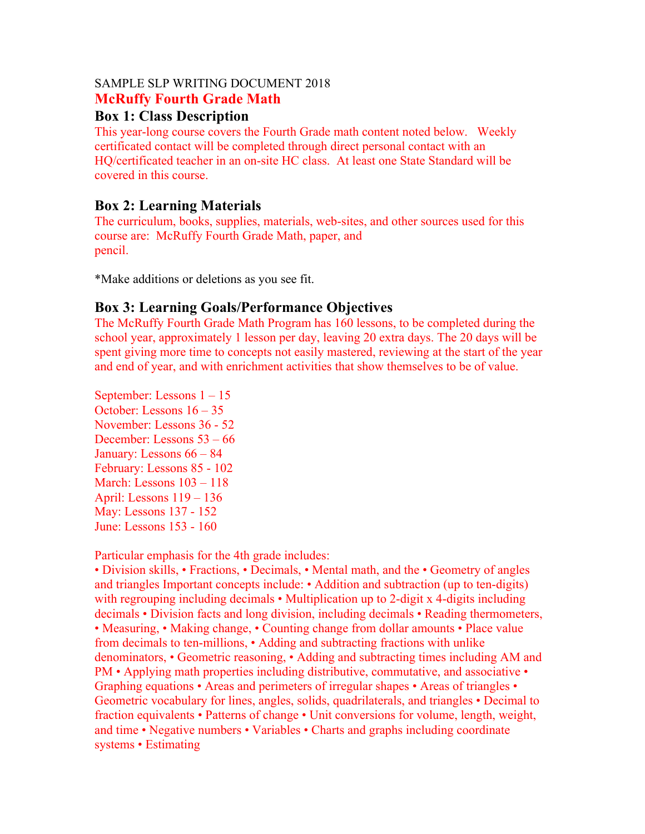#### SAMPLE SLP WRITING DOCUMENT 2018 **McRuffy Fourth Grade Math**

#### **Box 1: Class Description**

This year-long course covers the Fourth Grade math content noted below. Weekly certificated contact will be completed through direct personal contact with an HQ/certificated teacher in an on-site HC class. At least one State Standard will be covered in this course.

#### **Box 2: Learning Materials**

The curriculum, books, supplies, materials, web-sites, and other sources used for this course are: McRuffy Fourth Grade Math, paper, and pencil.

\*Make additions or deletions as you see fit.

## **Box 3: Learning Goals/Performance Objectives**

The McRuffy Fourth Grade Math Program has 160 lessons, to be completed during the school year, approximately 1 lesson per day, leaving 20 extra days. The 20 days will be spent giving more time to concepts not easily mastered, reviewing at the start of the year and end of year, and with enrichment activities that show themselves to be of value.

September: Lessons 1 – 15 October: Lessons 16 – 35 November: Lessons 36 - 52 December: Lessons 53 – 66 January: Lessons 66 – 84 February: Lessons 85 - 102 March: Lessons 103 – 118 April: Lessons 119 – 136 May: Lessons 137 - 152 June: Lessons 153 - 160

Particular emphasis for the 4th grade includes:

• Division skills, • Fractions, • Decimals, • Mental math, and the • Geometry of angles and triangles Important concepts include: • Addition and subtraction (up to ten-digits) with regrouping including decimals • Multiplication up to 2-digit x 4-digits including decimals • Division facts and long division, including decimals • Reading thermometers, • Measuring, • Making change, • Counting change from dollar amounts • Place value from decimals to ten-millions, • Adding and subtracting fractions with unlike denominators, • Geometric reasoning, • Adding and subtracting times including AM and PM • Applying math properties including distributive, commutative, and associative • Graphing equations • Areas and perimeters of irregular shapes • Areas of triangles • Geometric vocabulary for lines, angles, solids, quadrilaterals, and triangles • Decimal to fraction equivalents • Patterns of change • Unit conversions for volume, length, weight, and time • Negative numbers • Variables • Charts and graphs including coordinate systems • Estimating